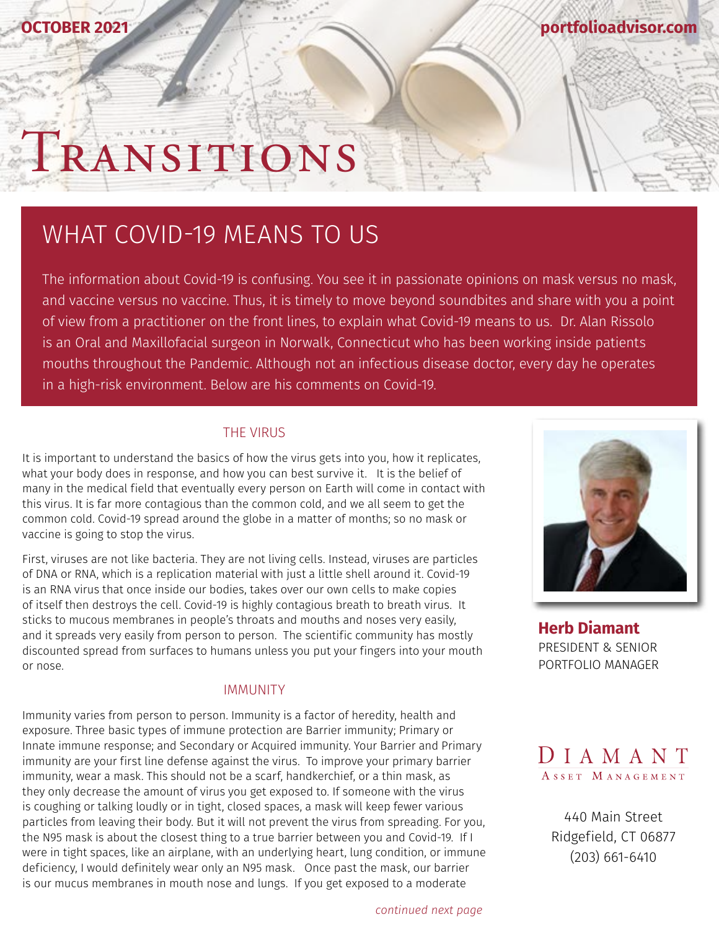**[portfolioadvisor.com](http://portfolioadvisor.com)**

# TRANSITIONS

## WHAT COVID-19 MEANS TO US

The information about Covid-19 is confusing. You see it in passionate opinions on mask versus no mask, and vaccine versus no vaccine. Thus, it is timely to move beyond soundbites and share with you a point of view from a practitioner on the front lines, to explain what Covid-19 means to us. Dr. Alan Rissolo is an Oral and Maxillofacial surgeon in Norwalk, Connecticut who has been working inside patients mouths throughout the Pandemic. Although not an infectious disease doctor, every day he operates in a high-risk environment. Below are his comments on Covid-19.

#### THE VIRUS

It is important to understand the basics of how the virus gets into you, how it replicates, what your body does in response, and how you can best survive it. It is the belief of many in the medical field that eventually every person on Earth will come in contact with this virus. It is far more contagious than the common cold, and we all seem to get the common cold. Covid-19 spread around the globe in a matter of months; so no mask or vaccine is going to stop the virus.

First, viruses are not like bacteria. They are not living cells. Instead, viruses are particles of DNA or RNA, which is a replication material with just a little shell around it. Covid-19 is an RNA virus that once inside our bodies, takes over our own cells to make copies of itself then destroys the cell. Covid-19 is highly contagious breath to breath virus. It sticks to mucous membranes in people's throats and mouths and noses very easily, and it spreads very easily from person to person. The scientific community has mostly discounted spread from surfaces to humans unless you put your fingers into your mouth or nose.

#### IMMUNITY

Immunity varies from person to person. Immunity is a factor of heredity, health and exposure. Three basic types of immune protection are Barrier immunity; Primary or Innate immune response; and Secondary or Acquired immunity. Your Barrier and Primary immunity are your first line defense against the virus. To improve your primary barrier immunity, wear a mask. This should not be a scarf, handkerchief, or a thin mask, as they only decrease the amount of virus you get exposed to. If someone with the virus is coughing or talking loudly or in tight, closed spaces, a mask will keep fewer various particles from leaving their body. But it will not prevent the virus from spreading. For you, the N95 mask is about the closest thing to a true barrier between you and Covid-19. If I were in tight spaces, like an airplane, with an underlying heart, lung condition, or immune deficiency, I would definitely wear only an N95 mask. Once past the mask, our barrier is our mucus membranes in mouth nose and lungs. If you get exposed to a moderate



**[Herb Diamant](http://portfolioadvisor.com/team)** PRESIDENT & SENIOR PORTFOLIO MANAGER



[440 Main Street](http://www.portfolioadvisor.com) Ridgefield, CT 06877 (203) 661-6410

*continued next page*